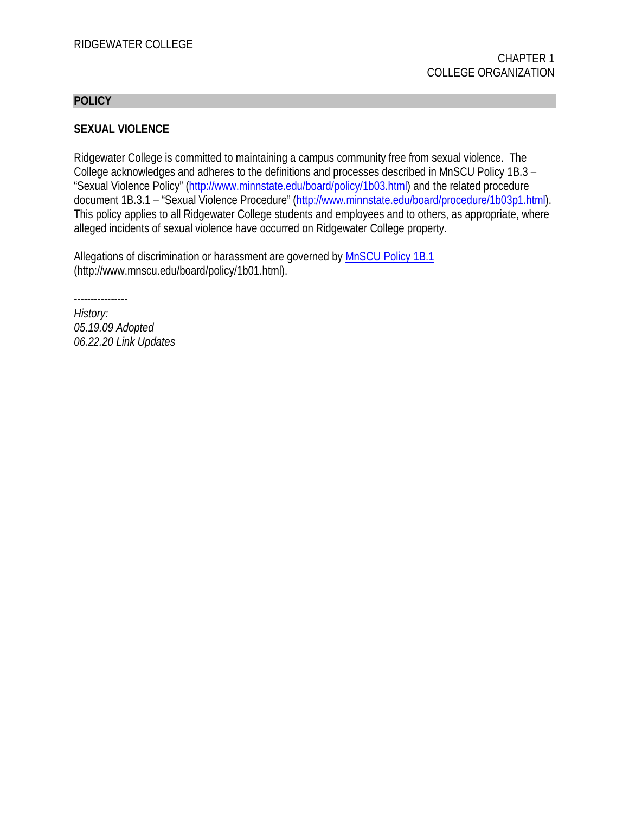#### **POLICY**

### **SEXUAL VIOLENCE**

Ridgewater College is committed to maintaining a campus community free from sexual violence. The College acknowledges and adheres to the definitions and processes described in MnSCU Policy 1B.3 – "Sexual Violence Policy" [\(http://www.minnstate.edu/board/policy/1b03.html\)](http://www.minnstate.edu/board/policy/1b03.html) and the related procedure document 1B.3.1 – "Sexual Violence Procedure" [\(http://www.minnstate.edu/board/procedure/1b03p1.html\)](http://www.minnstate.edu/board/procedure/1b03p1.html). This policy applies to all Ridgewater College students and employees and to others, as appropriate, where alleged incidents of sexual violence have occurred on Ridgewater College property.

Allegations of discrimination or harassment are governed by [MnSCU Policy 1B.1](http://www.minnstate.edu/board/policy/1b01.html) (http://www.mnscu.edu/board/policy/1b01.html).

----------------

*History: 05.19.09 Adopted 06.22.20 Link Updates*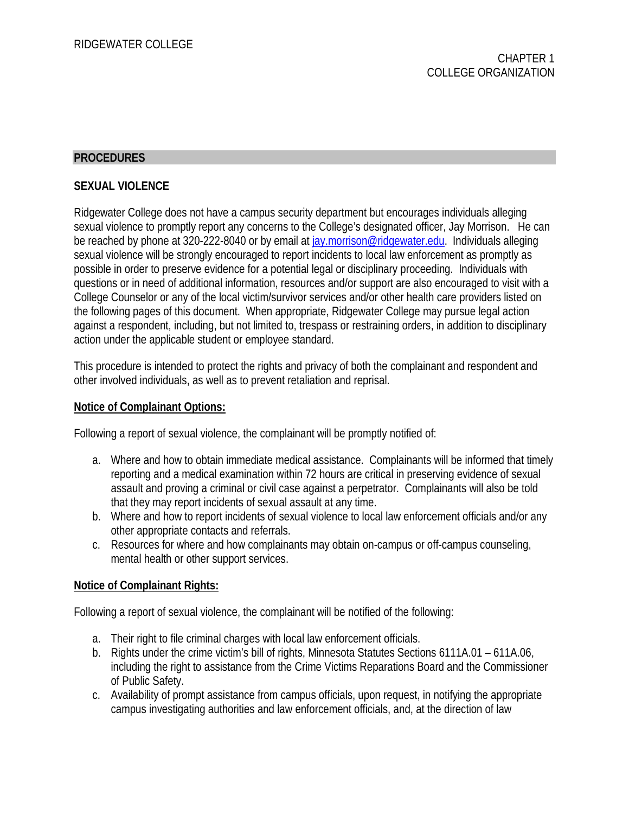# **PROCEDURES**

### **SEXUAL VIOLENCE**

Ridgewater College does not have a campus security department but encourages individuals alleging sexual violence to promptly report any concerns to the College's designated officer, Jay Morrison. He can be reached by phone at 320-222-8040 or by email at [jay.morrison@ridgewater.edu.](mailto:tammy.beckergreen@ridgewater.edu) Individuals alleging sexual violence will be strongly encouraged to report incidents to local law enforcement as promptly as possible in order to preserve evidence for a potential legal or disciplinary proceeding. Individuals with questions or in need of additional information, resources and/or support are also encouraged to visit with a College Counselor or any of the local victim/survivor services and/or other health care providers listed on the following pages of this document. When appropriate, Ridgewater College may pursue legal action against a respondent, including, but not limited to, trespass or restraining orders, in addition to disciplinary action under the applicable student or employee standard.

This procedure is intended to protect the rights and privacy of both the complainant and respondent and other involved individuals, as well as to prevent retaliation and reprisal.

### **Notice of Complainant Options:**

Following a report of sexual violence, the complainant will be promptly notified of:

- a. Where and how to obtain immediate medical assistance. Complainants will be informed that timely reporting and a medical examination within 72 hours are critical in preserving evidence of sexual assault and proving a criminal or civil case against a perpetrator. Complainants will also be told that they may report incidents of sexual assault at any time.
- b. Where and how to report incidents of sexual violence to local law enforcement officials and/or any other appropriate contacts and referrals.
- c. Resources for where and how complainants may obtain on-campus or off-campus counseling, mental health or other support services.

### **Notice of Complainant Rights:**

Following a report of sexual violence, the complainant will be notified of the following:

- a. Their right to file criminal charges with local law enforcement officials.
- b. Rights under the crime victim's bill of rights, Minnesota Statutes Sections 6111A.01 611A.06, including the right to assistance from the Crime Victims Reparations Board and the Commissioner of Public Safety.
- c. Availability of prompt assistance from campus officials, upon request, in notifying the appropriate campus investigating authorities and law enforcement officials, and, at the direction of law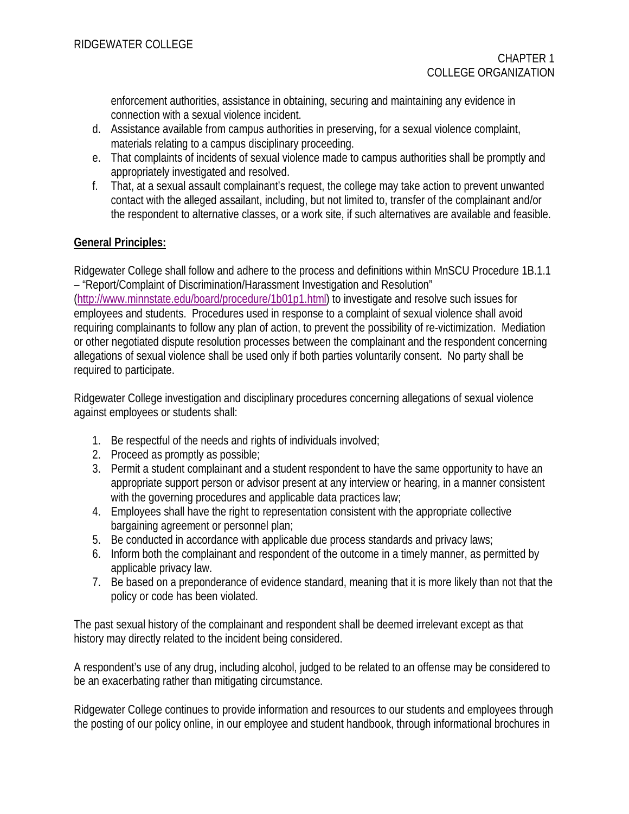enforcement authorities, assistance in obtaining, securing and maintaining any evidence in connection with a sexual violence incident.

- d. Assistance available from campus authorities in preserving, for a sexual violence complaint, materials relating to a campus disciplinary proceeding.
- e. That complaints of incidents of sexual violence made to campus authorities shall be promptly and appropriately investigated and resolved.
- f. That, at a sexual assault complainant's request, the college may take action to prevent unwanted contact with the alleged assailant, including, but not limited to, transfer of the complainant and/or the respondent to alternative classes, or a work site, if such alternatives are available and feasible.

# **General Principles:**

Ridgewater College shall follow and adhere to the process and definitions within MnSCU Procedure 1B.1.1 – "Report/Complaint of Discrimination/Harassment Investigation and Resolution"

[\(http://www.minnstate.edu/board/procedure/1b01p1.html\)](http://www.minnstate.edu/board/procedure/1b01p1.html) to investigate and resolve such issues for employees and students. Procedures used in response to a complaint of sexual violence shall avoid requiring complainants to follow any plan of action, to prevent the possibility of re-victimization. Mediation or other negotiated dispute resolution processes between the complainant and the respondent concerning allegations of sexual violence shall be used only if both parties voluntarily consent. No party shall be required to participate.

Ridgewater College investigation and disciplinary procedures concerning allegations of sexual violence against employees or students shall:

- 1. Be respectful of the needs and rights of individuals involved;
- 2. Proceed as promptly as possible;
- 3. Permit a student complainant and a student respondent to have the same opportunity to have an appropriate support person or advisor present at any interview or hearing, in a manner consistent with the governing procedures and applicable data practices law;
- 4. Employees shall have the right to representation consistent with the appropriate collective bargaining agreement or personnel plan;
- 5. Be conducted in accordance with applicable due process standards and privacy laws;
- 6. Inform both the complainant and respondent of the outcome in a timely manner, as permitted by applicable privacy law.
- 7. Be based on a preponderance of evidence standard, meaning that it is more likely than not that the policy or code has been violated.

The past sexual history of the complainant and respondent shall be deemed irrelevant except as that history may directly related to the incident being considered.

A respondent's use of any drug, including alcohol, judged to be related to an offense may be considered to be an exacerbating rather than mitigating circumstance.

Ridgewater College continues to provide information and resources to our students and employees through the posting of our policy online, in our employee and student handbook, through informational brochures in